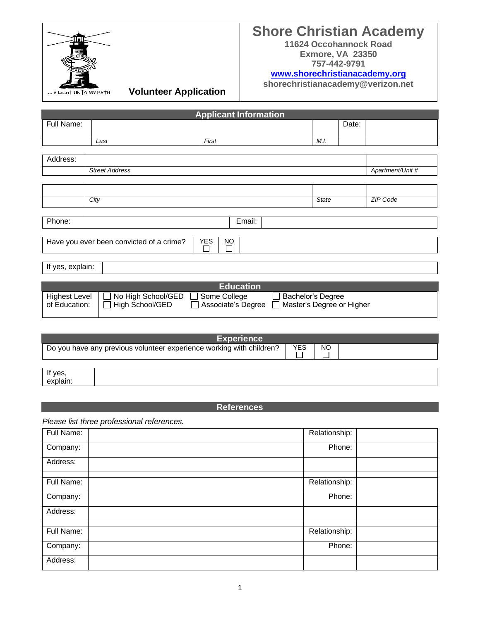

# **Shore Christian Academy**

**11624 Occohannock Road Exmore, VA 23350 757-442-9791**

# **[www.shorechristianacademy.org](http://www.shorechristianacademy.org/)**

**shorechristianacademy@verizon.net**

**GHT UNTO MY PATH Volunteer Application** 

| <b>Applicant Information</b> |                                          |            |           |  |          |       |                  |
|------------------------------|------------------------------------------|------------|-----------|--|----------|-------|------------------|
| Full Name:                   |                                          |            |           |  |          | Date: |                  |
|                              |                                          |            |           |  |          |       |                  |
|                              | Last                                     | First      |           |  | M.I.     |       |                  |
|                              |                                          |            |           |  |          |       |                  |
| Address:                     |                                          |            |           |  |          |       |                  |
|                              | <b>Street Address</b>                    |            |           |  |          |       | Apartment/Unit # |
|                              |                                          |            |           |  |          |       |                  |
|                              |                                          |            |           |  |          |       |                  |
|                              | City<br><b>State</b>                     |            |           |  | ZIP Code |       |                  |
|                              |                                          |            |           |  |          |       |                  |
| Phone:                       |                                          |            | Email:    |  |          |       |                  |
|                              |                                          |            |           |  |          |       |                  |
|                              | Have you ever been convicted of a crime? | <b>YES</b> | <b>NO</b> |  |          |       |                  |
|                              |                                          |            |           |  |          |       |                  |
|                              | If yes, explain:                         |            |           |  |          |       |                  |
|                              |                                          |            |           |  |          |       |                  |

|                                      | <b>Education</b>    |                                                                         |  |
|--------------------------------------|---------------------|-------------------------------------------------------------------------|--|
| Highest Level   □ No High School/GED | $\Box$ Some College | □ Bachelor's Degree<br>□ Associate's Degree □ Master's Degree or Higher |  |

| <b>Experience</b>   |                                                                      |  |  |  |
|---------------------|----------------------------------------------------------------------|--|--|--|
|                     | Do you have any previous volunteer experience working with children? |  |  |  |
|                     |                                                                      |  |  |  |
| If yes,<br>explain: |                                                                      |  |  |  |

# **References**

*Please list three professional references.*

| Full Name: | Relationship: |  |
|------------|---------------|--|
| Company:   | Phone:        |  |
| Address:   |               |  |
|            |               |  |
| Full Name: | Relationship: |  |
| Company:   | Phone:        |  |
| Address:   |               |  |
|            |               |  |
| Full Name: | Relationship: |  |
| Company:   | Phone:        |  |
| Address:   |               |  |